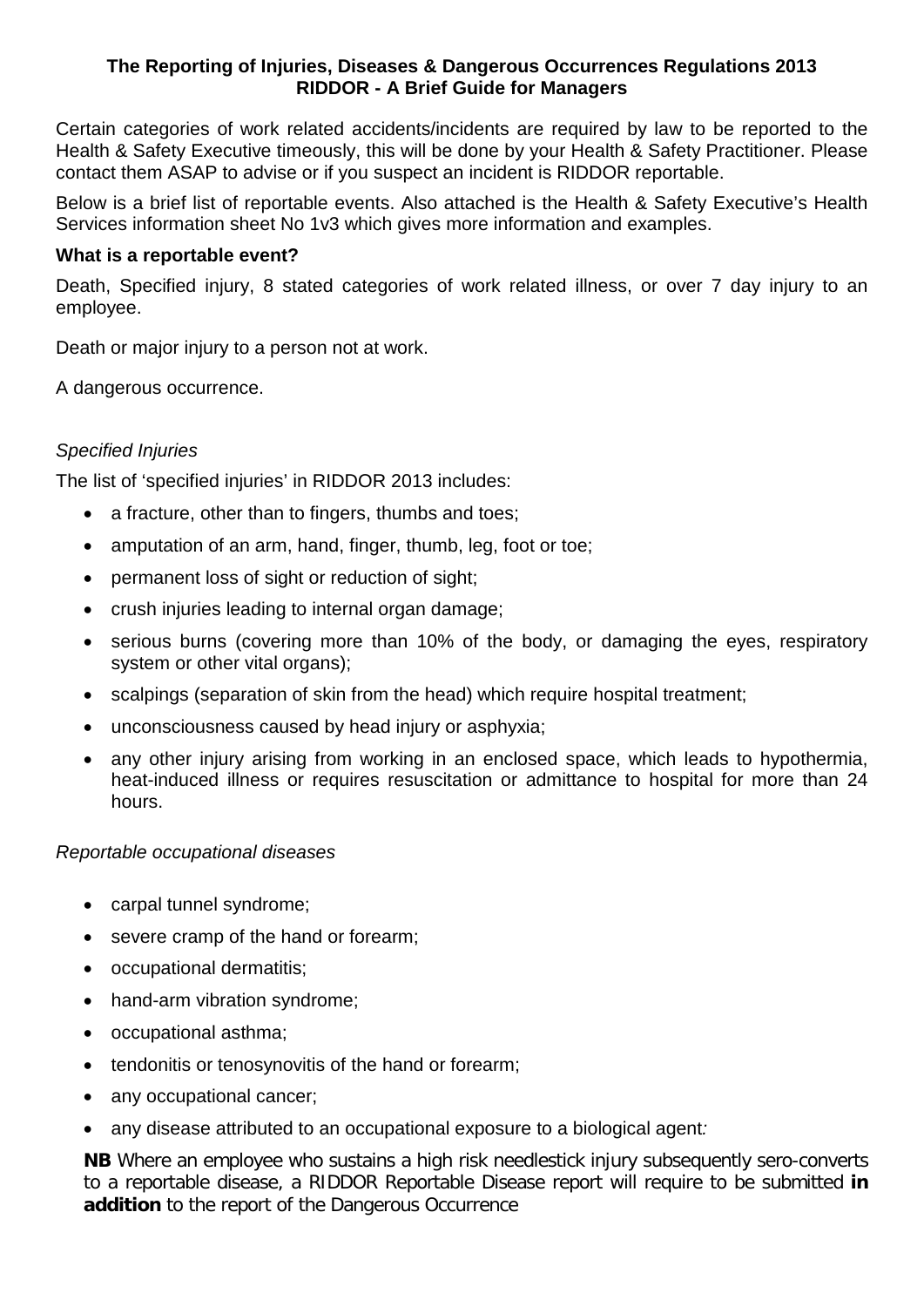# **The Reporting of Injuries, Diseases & Dangerous Occurrences Regulations 2013 RIDDOR - A Brief Guide for Managers**

Certain categories of work related accidents/incidents are required by law to be reported to the Health & Safety Executive timeously, this will be done by your Health & Safety Practitioner. Please contact them ASAP to advise or if you suspect an incident is RIDDOR reportable.

Below is a brief list of reportable events. Also attached is the Health & Safety Executive's Health Services information sheet No 1v3 which gives more information and examples.

# **What is a reportable event?**

Death, Specified injury, 8 stated categories of work related illness, or over 7 day injury to an employee.

Death or major injury to a person not at work.

A dangerous occurrence.

# *Specified Injuries*

The list of 'specified injuries' in RIDDOR 2013 includes:

- a fracture, other than to fingers, thumbs and toes;
- amputation of an arm, hand, finger, thumb, leg, foot or toe;
- permanent loss of sight or reduction of sight;
- crush injuries leading to internal organ damage;
- serious burns (covering more than 10% of the body, or damaging the eyes, respiratory system or other vital organs);
- scalpings (separation of skin from the head) which require hospital treatment;
- unconsciousness caused by head injury or asphyxia;
- any other injury arising from working in an enclosed space, which leads to hypothermia, heat-induced illness or requires resuscitation or admittance to hospital for more than 24 hours.

# *Reportable occupational diseases*

- carpal tunnel syndrome;
- severe cramp of the hand or forearm;
- occupational dermatitis;
- hand-arm vibration syndrome;
- occupational asthma;
- tendonitis or tenosynovitis of the hand or forearm;
- any occupational cancer;
- any disease attributed to an occupational exposure to a biological agent*:*

**NB** Where an employee who sustains a high risk needlestick injury subsequently sero-converts to a reportable disease, a RIDDOR Reportable Disease report will require to be submitted **in addition** to the report of the Dangerous Occurrence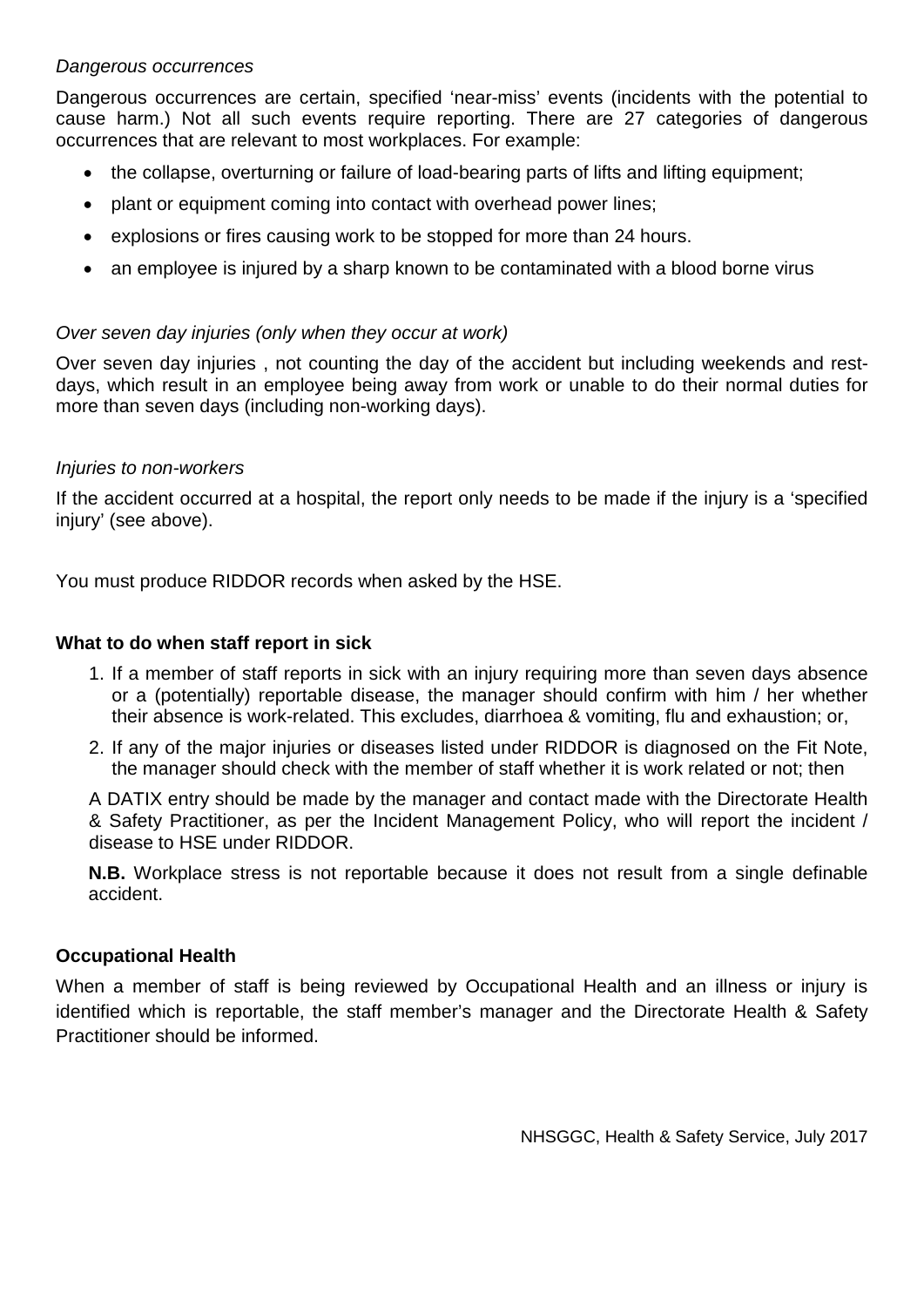# *Dangerous occurrences*

Dangerous occurrences are certain, specified 'near-miss' events (incidents with the potential to cause harm.) Not all such events require reporting. There are 27 categories of dangerous occurrences that are relevant to most workplaces. For example:

- the collapse, overturning or failure of load-bearing parts of lifts and lifting equipment;
- plant or equipment coming into contact with overhead power lines;
- explosions or fires causing work to be stopped for more than 24 hours.
- an employee is injured by a sharp known to be contaminated with a blood borne virus

# *Over seven day injuries (only when they occur at work)*

Over seven day injuries , not counting the day of the accident but including weekends and restdays, which result in an employee being away from work or unable to do their normal duties for more than seven days (including non-working days).

# *Injuries to non-workers*

If the accident occurred at a hospital, the report only needs to be made if the injury is a 'specified injury' (see above).

You must produce RIDDOR records when asked by the HSE.

# **What to do when staff report in sick**

- 1. If a member of staff reports in sick with an injury requiring more than seven days absence or a (potentially) reportable disease, the manager should confirm with him / her whether their absence is work-related. This excludes, diarrhoea & vomiting, flu and exhaustion; or,
- 2. If any of the major injuries or diseases listed under RIDDOR is diagnosed on the Fit Note, the manager should check with the member of staff whether it is work related or not; then

A DATIX entry should be made by the manager and contact made with the Directorate Health & Safety Practitioner, as per the Incident Management Policy, who will report the incident / disease to HSE under RIDDOR.

**N.B.** Workplace stress is not reportable because it does not result from a single definable accident.

# **Occupational Health**

When a member of staff is being reviewed by Occupational Health and an illness or injury is identified which is reportable, the staff member's manager and the Directorate Health & Safety Practitioner should be informed.

NHSGGC, Health & Safety Service, July 2017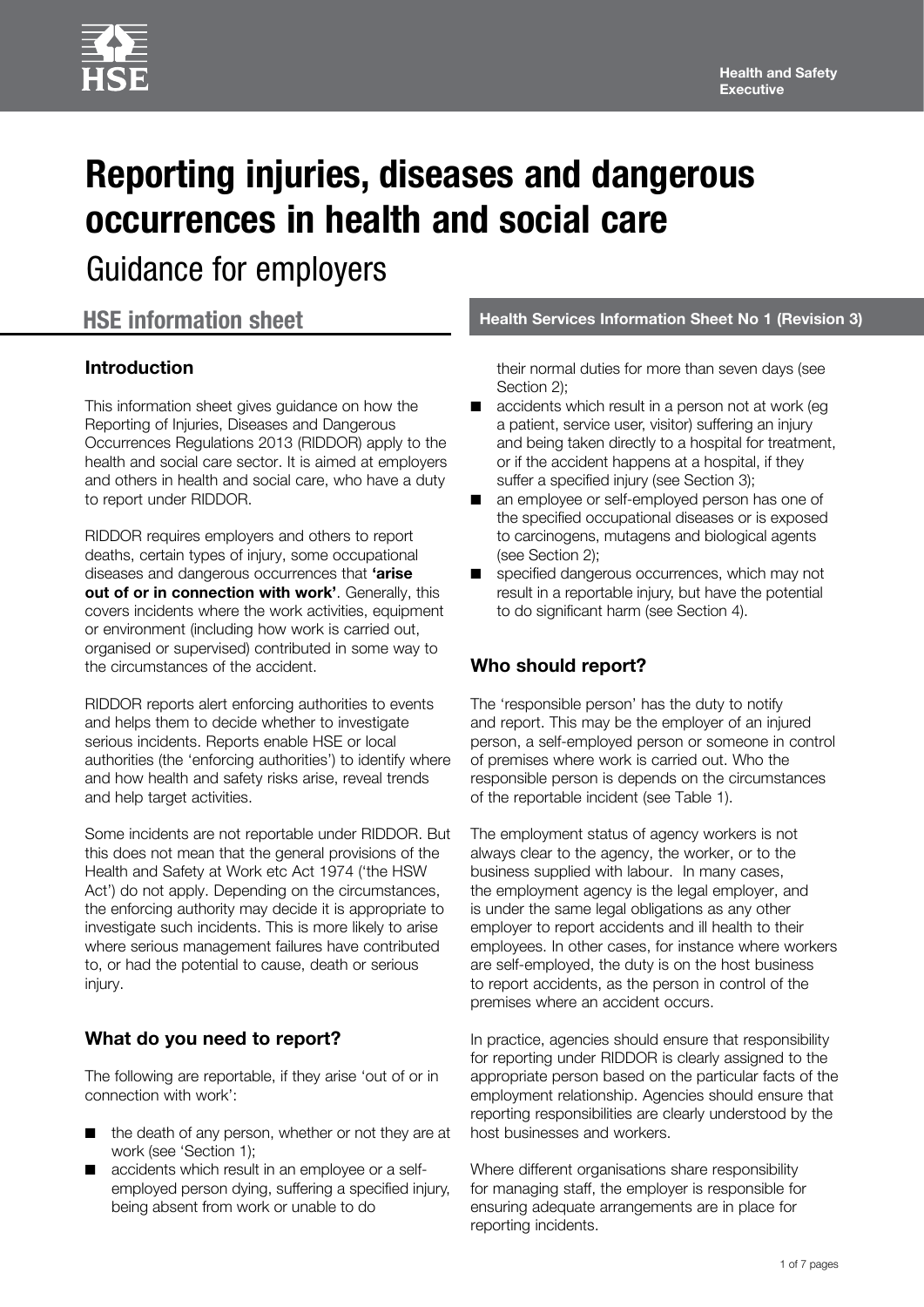

# **Reporting injuries, diseases and dangerous occurrences in health and social care**

Guidance for employers

# **Introduction**

This information sheet gives guidance on how the Reporting of Injuries, Diseases and Dangerous Occurrences Regulations 2013 (RIDDOR) apply to the health and social care sector. It is aimed at employers and others in health and social care, who have a duty to report under RIDDOR.

RIDDOR requires employers and others to report deaths, certain types of injury, some occupational diseases and dangerous occurrences that **'arise out of or in connection with work'**. Generally, this covers incidents where the work activities, equipment or environment (including how work is carried out, organised or supervised) contributed in some way to the circumstances of the accident.

RIDDOR reports alert enforcing authorities to events and helps them to decide whether to investigate serious incidents. Reports enable HSE or local authorities (the 'enforcing authorities') to identify where and how health and safety risks arise, reveal trends and help target activities.

Some incidents are not reportable under RIDDOR. But this does not mean that the general provisions of the Health and Safety at Work etc Act 1974 ('the HSW Act') do not apply. Depending on the circumstances, the enforcing authority may decide it is appropriate to investigate such incidents. This is more likely to arise where serious management failures have contributed to, or had the potential to cause, death or serious injury.

# **What do you need to report?**

The following are reportable, if they arise 'out of or in connection with work':

- the death of any person, whether or not they are at work (see 'Section 1);
- accidents which result in an employee or a selfemployed person dying, suffering a specified injury, being absent from work or unable to do

**HSE information sheet Health Services Information Sheet No 1 (Revision 3)** 

their normal duties for more than seven days (see Section 2);

- accidents which result in a person not at work (eg a patient, service user, visitor) suffering an injury and being taken directly to a hospital for treatment, or if the accident happens at a hospital, if they suffer a specified injury (see Section 3);
- an employee or self-employed person has one of the specified occupational diseases or is exposed to carcinogens, mutagens and biological agents (see Section 2);
- specified dangerous occurrences, which may not result in a reportable injury, but have the potential to do significant harm (see Section 4).

# **Who should report?**

The 'responsible person' has the duty to notify and report. This may be the employer of an injured person, a self-employed person or someone in control of premises where work is carried out. Who the responsible person is depends on the circumstances of the reportable incident (see Table 1).

The employment status of agency workers is not always clear to the agency, the worker, or to the business supplied with labour. In many cases, the employment agency is the legal employer, and is under the same legal obligations as any other employer to report accidents and ill health to their employees. In other cases, for instance where workers are self-employed, the duty is on the host business to report accidents, as the person in control of the premises where an accident occurs.

In practice, agencies should ensure that responsibility for reporting under RIDDOR is clearly assigned to the appropriate person based on the particular facts of the employment relationship. Agencies should ensure that reporting responsibilities are clearly understood by the host businesses and workers.

Where different organisations share responsibility for managing staff, the employer is responsible for ensuring adequate arrangements are in place for reporting incidents.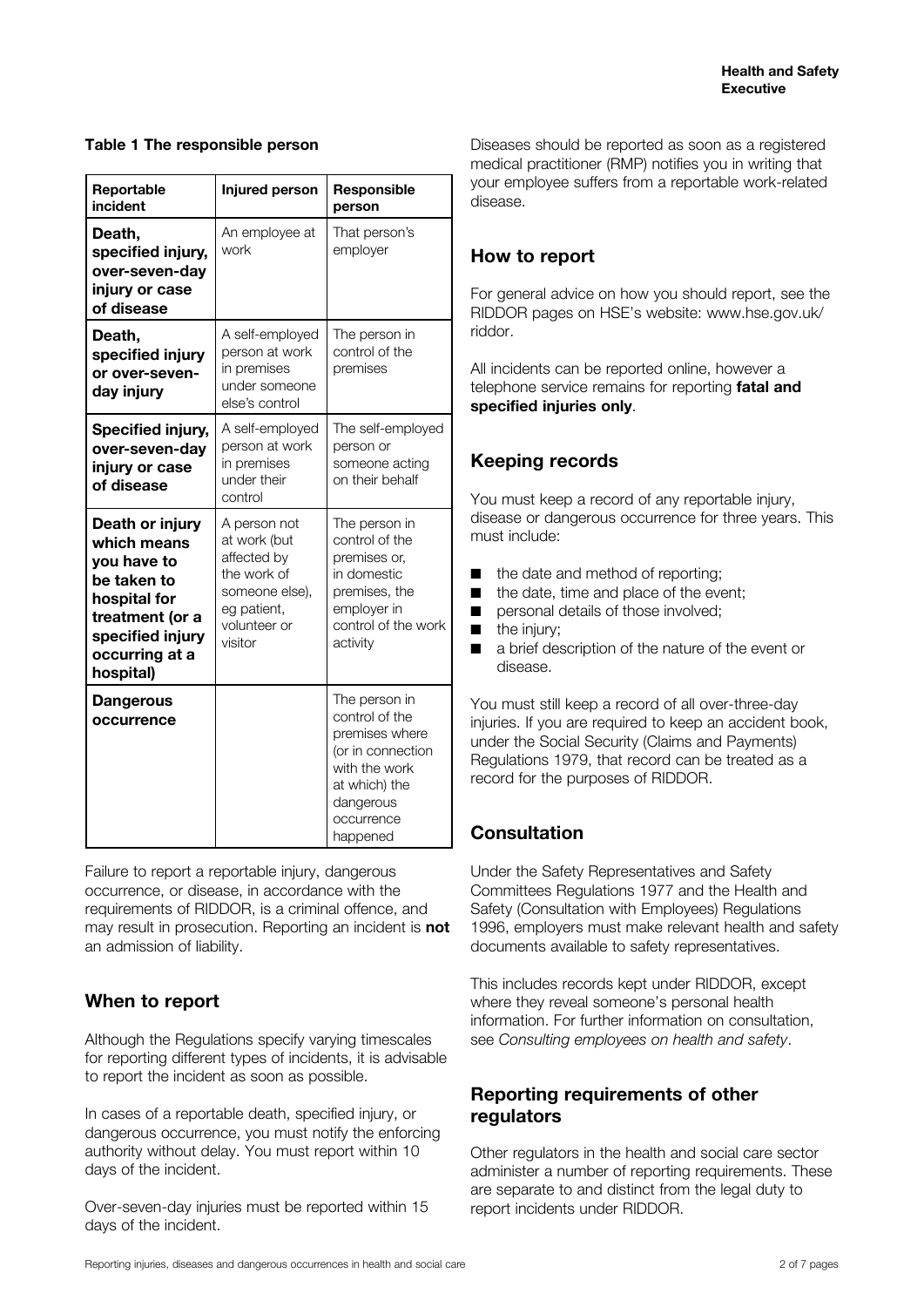#### **Table 1 The responsible person**

| Reportable<br>incident                                                                                                                             | Injured person                                                                                                         | <b>Responsible</b><br>person                                                                                                                    |
|----------------------------------------------------------------------------------------------------------------------------------------------------|------------------------------------------------------------------------------------------------------------------------|-------------------------------------------------------------------------------------------------------------------------------------------------|
| Death,<br>specified injury,<br>over-seven-day<br>injury or case<br>of disease                                                                      | An employee at<br>work                                                                                                 | That person's<br>employer                                                                                                                       |
| Death,<br>specified injury<br>or over-seven-<br>day injury                                                                                         | A self-employed<br>person at work<br>in premises<br>under someone<br>else's control                                    | The person in<br>control of the<br>premises                                                                                                     |
| Specified injury,<br>over-seven-day<br>injury or case<br>of disease                                                                                | A self-employed<br>person at work<br>in premises<br>under their<br>control                                             | The self-employed<br>person or<br>someone acting<br>on their behalf                                                                             |
| Death or injury<br>which means<br>you have to<br>be taken to<br>hospital for<br>treatment (or a<br>specified injury<br>occurring at a<br>hospital) | A person not<br>at work (but<br>affected by<br>the work of<br>someone else),<br>eg patient,<br>volunteer or<br>visitor | The person in<br>control of the<br>premises or.<br>in domestic<br>premises, the<br>employer in<br>control of the work<br>activity               |
| <b>Dangerous</b><br>occurrence                                                                                                                     |                                                                                                                        | The person in<br>control of the<br>premises where<br>(or in connection<br>with the work<br>at which) the<br>dangerous<br>occurrence<br>happened |

Failure to report a reportable injury, dangerous occurrence, or disease, in accordance with the requirements of RIDDOR, is a criminal offence, and may result in prosecution. Reporting an incident is **not** an admission of liability.

# **When to report**

Although the Regulations specify varying timescales for reporting different types of incidents, it is advisable to report the incident as soon as possible.

In cases of a reportable death, specified injury, or dangerous occurrence, you must notify the enforcing authority without delay. You must report within 10 days of the incident.

Over-seven-day injuries must be reported within 15 days of the incident.

Diseases should be reported as soon as a registered medical practitioner (RMP) notifies you in writing that your employee suffers from a reportable work-related disease.

# **How to report**

For general advice on how you should report, see the RIDDOR pages on HSE's website: [www.hse.gov.uk/](http://www.hse.gov.uk/riddor) [riddor](http://www.hse.gov.uk/riddor).

All incidents can be reported online, however a telephone service remains for reporting **fatal and specified injuries only**.

# **Keeping records**

You must keep a record of any reportable injury, disease or dangerous occurrence for three years. This must include:

- the date and method of reporting;
- the date, time and place of the event:
- personal details of those involved;
- the injury;
- a brief description of the nature of the event or disease.

You must still keep a record of all over-three-day injuries. If you are required to keep an accident book, under the Social Security (Claims and Payments) Regulations 1979, that record can be treated as a record for the purposes of RIDDOR.

# **Consultation**

Under the Safety Representatives and Safety Committees Regulations 1977 and the Health and Safety (Consultation with Employees) Regulations 1996, employers must make relevant health and safety documents available to safety representatives.

This includes records kept under RIDDOR, except where they reveal someone's personal health information. For further information on consultation, see *Consulting employees on health and safety*.

# **Reporting requirements of other regulators**

Other regulators in the health and social care sector administer a number of reporting requirements. These are separate to and distinct from the legal duty to report incidents under RIDDOR.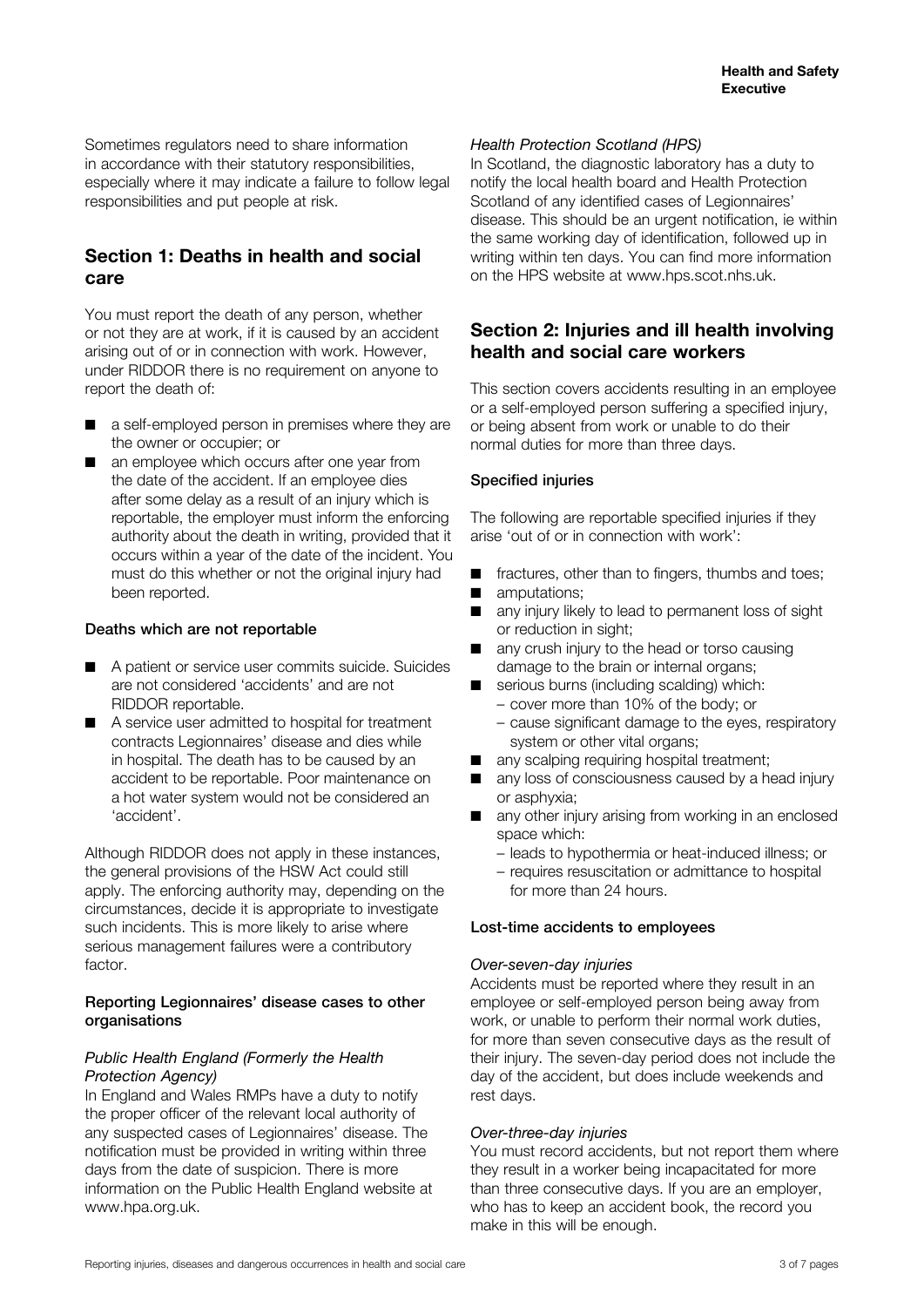Sometimes regulators need to share information in accordance with their statutory responsibilities, especially where it may indicate a failure to follow legal responsibilities and put people at risk.

# **Section 1: Deaths in health and social care**

You must report the death of any person, whether or not they are at work, if it is caused by an accident arising out of or in connection with work. However, under RIDDOR there is no requirement on anyone to report the death of:

- a self-employed person in premises where they are the owner or occupier; or
- an employee which occurs after one year from the date of the accident. If an employee dies after some delay as a result of an injury which is reportable, the employer must inform the enforcing authority about the death in writing, provided that it occurs within a year of the date of the incident. You must do this whether or not the original injury had been reported.

#### Deaths which are not reportable

- A patient or service user commits suicide. Suicides are not considered 'accidents' and are not RIDDOR reportable.
- A service user admitted to hospital for treatment contracts Legionnaires' disease and dies while in hospital. The death has to be caused by an accident to be reportable. Poor maintenance on a hot water system would not be considered an 'accident'.

Although RIDDOR does not apply in these instances, the general provisions of the HSW Act could still apply. The enforcing authority may, depending on the circumstances, decide it is appropriate to investigate such incidents. This is more likely to arise where serious management failures were a contributory factor.

#### Reporting Legionnaires' disease cases to other organisations

#### *Public Health England (Formerly the Health Protection Agency)*

In England and Wales RMPs have a duty to notify the proper officer of the relevant local authority of any suspected cases of Legionnaires' disease. The notification must be provided in writing within three days from the date of suspicion. There is more information on the Public Health England website at www.hpa.org.uk.

### *Health Protection Scotland (HPS)*

In Scotland, the diagnostic laboratory has a duty to notify the local health board and Health Protection Scotland of any identified cases of Legionnaires' disease. This should be an urgent notification, ie within the same working day of identification, followed up in writing within ten days. You can find more information on the HPS website at www.hps.scot.nhs.uk.

# **Section 2: Injuries and ill health involving health and social care workers**

This section covers accidents resulting in an employee or a self-employed person suffering a specified injury, or being absent from work or unable to do their normal duties for more than three days.

#### Specified injuries

The following are reportable specified injuries if they arise 'out of or in connection with work':

- fractures, other than to fingers, thumbs and toes; ■ amputations:
- any injury likely to lead to permanent loss of sight or reduction in sight;
- any crush injury to the head or torso causing damage to the brain or internal organs;
- serious burns (including scalding) which: – cover more than 10% of the body; or
	- cause significant damage to the eyes, respiratory system or other vital organs;
- any scalping requiring hospital treatment;
- any loss of consciousness caused by a head injury or asphyxia;
- any other injury arising from working in an enclosed space which:
	- leads to hypothermia or heat-induced illness; or
	- requires resuscitation or admittance to hospital for more than 24 hours.

#### Lost-time accidents to employees

#### *Over-seven-day injuries*

Accidents must be reported where they result in an employee or self-employed person being away from work, or unable to perform their normal work duties, for more than seven consecutive days as the result of their injury. The seven-day period does not include the day of the accident, but does include weekends and rest days.

#### *Over-three-day injuries*

You must record accidents, but not report them where they result in a worker being incapacitated for more than three consecutive days. If you are an employer, who has to keep an accident book, the record you make in this will be enough.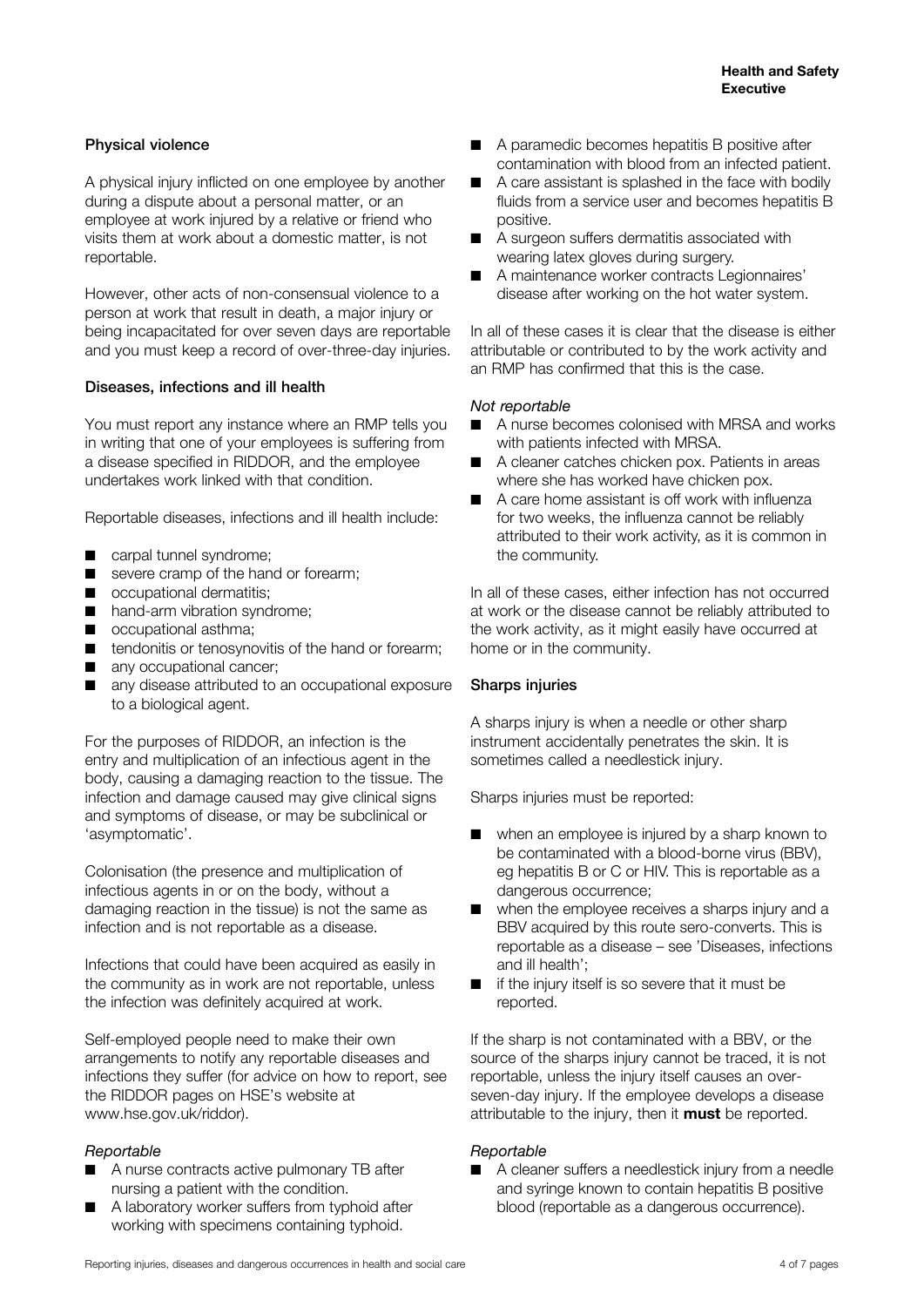#### Physical violence

A physical injury inflicted on one employee by another during a dispute about a personal matter, or an employee at work injured by a relative or friend who visits them at work about a domestic matter, is not reportable.

However, other acts of non-consensual violence to a person at work that result in death, a major injury or being incapacitated for over seven days are reportable and you must keep a record of over-three-day injuries.

#### Diseases, infections and ill health

You must report any instance where an RMP tells you in writing that one of your employees is suffering from a disease specified in RIDDOR, and the employee undertakes work linked with that condition.

Reportable diseases, infections and ill health include:

- carpal tunnel syndrome;
- severe cramp of the hand or forearm;
- occupational dermatitis:
- hand-arm vibration syndrome;
- occupational asthma;
- tendonitis or tenosynovitis of the hand or forearm;
- any occupational cancer;
- any disease attributed to an occupational exposure to a biological agent.

For the purposes of RIDDOR, an infection is the entry and multiplication of an infectious agent in the body, causing a damaging reaction to the tissue. The infection and damage caused may give clinical signs and symptoms of disease, or may be subclinical or 'asymptomatic'.

Colonisation (the presence and multiplication of infectious agents in or on the body, without a damaging reaction in the tissue) is not the same as infection and is not reportable as a disease.

Infections that could have been acquired as easily in the community as in work are not reportable, unless the infection was definitely acquired at work.

Self-employed people need to make their own arrangements to notify any reportable diseases and infections they suffer (for advice on how to report, see the RIDDOR pages on HSE's website at [www.hse.gov.uk/riddor](http://www.hse.gov.uk/riddor)).

#### *Reportable*

- A nurse contracts active pulmonary TB after nursing a patient with the condition.
- A laboratory worker suffers from typhoid after working with specimens containing typhoid.
- A paramedic becomes hepatitis B positive after contamination with blood from an infected patient.
- A care assistant is splashed in the face with bodily fluids from a service user and becomes hepatitis B positive.
- A surgeon suffers dermatitis associated with wearing latex gloves during surgery.
- A maintenance worker contracts Legionnaires' disease after working on the hot water system.

In all of these cases it is clear that the disease is either attributable or contributed to by the work activity and an RMP has confirmed that this is the case.

#### *Not reportable*

- A nurse becomes colonised with MRSA and works with patients infected with MRSA.
- A cleaner catches chicken pox. Patients in areas where she has worked have chicken pox.
- A care home assistant is off work with influenza for two weeks, the influenza cannot be reliably attributed to their work activity, as it is common in the community.

In all of these cases, either infection has not occurred at work or the disease cannot be reliably attributed to the work activity, as it might easily have occurred at home or in the community.

#### Sharps injuries

A sharps injury is when a needle or other sharp instrument accidentally penetrates the skin. It is sometimes called a needlestick injury.

Sharps injuries must be reported:

- when an employee is injured by a sharp known to be contaminated with a blood-borne virus (BBV), eg hepatitis B or C or HIV. This is reportable as a dangerous occurrence;
- when the employee receives a sharps injury and a BBV acquired by this route sero-converts. This is reportable as a disease – see 'Diseases, infections and ill health';
- if the injury itself is so severe that it must be reported.

If the sharp is not contaminated with a BBV, or the source of the sharps injury cannot be traced, it is not reportable, unless the injury itself causes an overseven-day injury. If the employee develops a disease attributable to the injury, then it **must** be reported.

#### *Reportable*

■ A cleaner suffers a needlestick injury from a needle and syringe known to contain hepatitis B positive blood (reportable as a dangerous occurrence).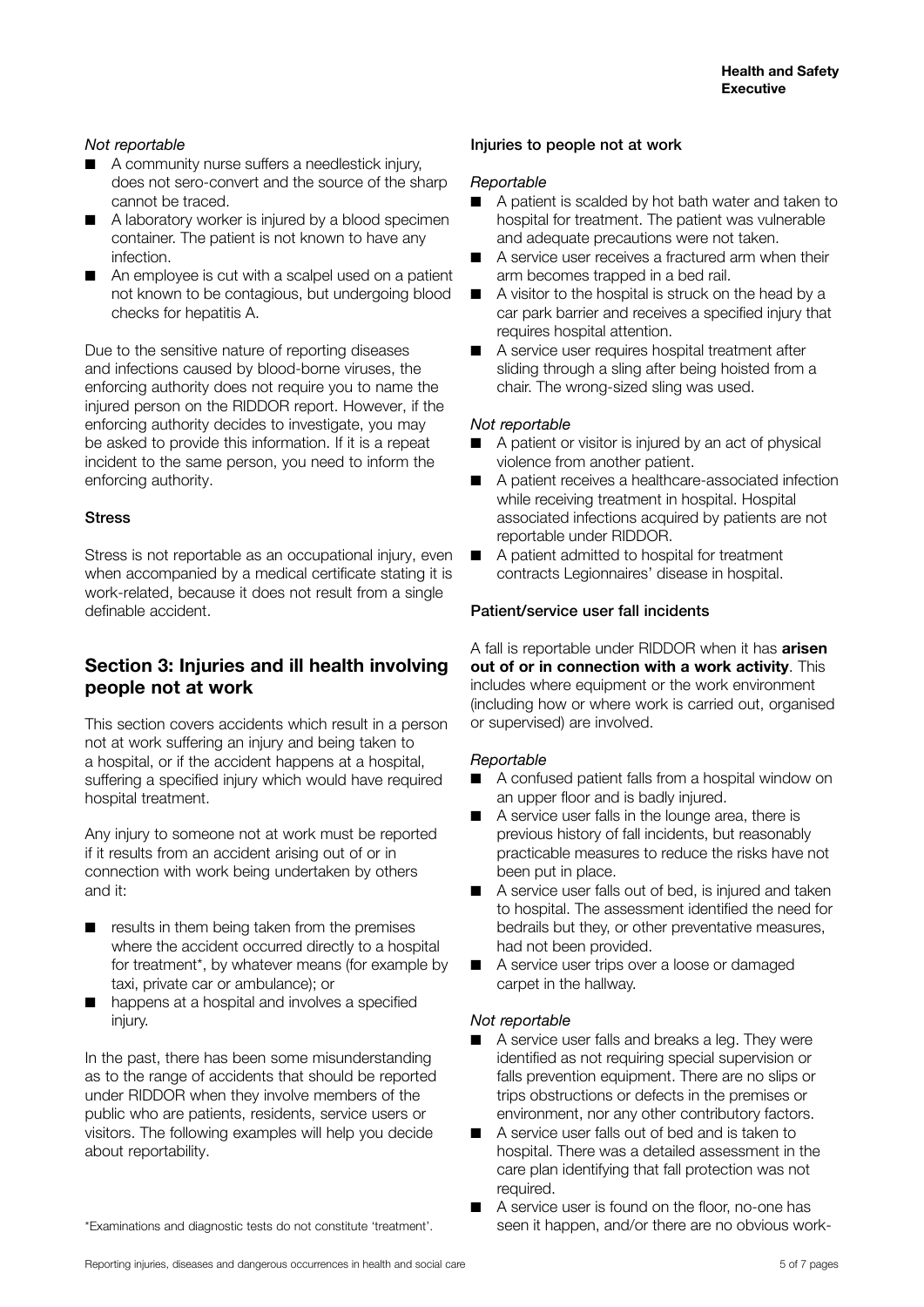#### *Not reportable*

- A community nurse suffers a needlestick injury, does not sero-convert and the source of the sharp cannot be traced.
- A laboratory worker is injured by a blood specimen container. The patient is not known to have any infection.
- An employee is cut with a scalpel used on a patient not known to be contagious, but undergoing blood checks for hepatitis A.

Due to the sensitive nature of reporting diseases and infections caused by blood-borne viruses, the enforcing authority does not require you to name the injured person on the RIDDOR report. However, if the enforcing authority decides to investigate, you may be asked to provide this information. If it is a repeat incident to the same person, you need to inform the enforcing authority.

#### Stress

Stress is not reportable as an occupational injury, even when accompanied by a medical certificate stating it is work-related, because it does not result from a single definable accident.

# **Section 3: Injuries and ill health involving people not at work**

This section covers accidents which result in a person not at work suffering an injury and being taken to a hospital, or if the accident happens at a hospital, suffering a specified injury which would have required hospital treatment.

Any injury to someone not at work must be reported if it results from an accident arising out of or in connection with work being undertaken by others and it:

- results in them being taken from the premises where the accident occurred directly to a hospital for treatment\*, by whatever means (for example by taxi, private car or ambulance); or
- happens at a hospital and involves a specified injury.

In the past, there has been some misunderstanding as to the range of accidents that should be reported under RIDDOR when they involve members of the public who are patients, residents, service users or visitors. The following examples will help you decide about reportability.

#### \*Examinations and diagnostic tests do not constitute 'treatment'.

#### Injuries to people not at work

#### *Reportable*

- A patient is scalded by hot bath water and taken to hospital for treatment. The patient was vulnerable and adequate precautions were not taken.
- A service user receives a fractured arm when their arm becomes trapped in a bed rail.
- A visitor to the hospital is struck on the head by a car park barrier and receives a specified injury that requires hospital attention.
- A service user requires hospital treatment after sliding through a sling after being hoisted from a chair. The wrong-sized sling was used.

#### *Not reportable*

- A patient or visitor is injured by an act of physical violence from another patient.
- A patient receives a healthcare-associated infection while receiving treatment in hospital. Hospital associated infections acquired by patients are not reportable under RIDDOR.
- A patient admitted to hospital for treatment contracts Legionnaires' disease in hospital.

#### Patient/service user fall incidents

A fall is reportable under RIDDOR when it has **arisen out of or in connection with a work activity**. This includes where equipment or the work environment (including how or where work is carried out, organised or supervised) are involved.

#### *Reportable*

- A confused patient falls from a hospital window on an upper floor and is badly injured.
- A service user falls in the lounge area, there is previous history of fall incidents, but reasonably practicable measures to reduce the risks have not been put in place.
- A service user falls out of bed, is injured and taken to hospital. The assessment identified the need for bedrails but they, or other preventative measures, had not been provided.
- A service user trips over a loose or damaged carpet in the hallway.

#### *Not reportable*

- A service user falls and breaks a leg. They were identified as not requiring special supervision or falls prevention equipment. There are no slips or trips obstructions or defects in the premises or environment, nor any other contributory factors.
- A service user falls out of bed and is taken to hospital. There was a detailed assessment in the care plan identifying that fall protection was not required.
- A service user is found on the floor, no-one has seen it happen, and/or there are no obvious work-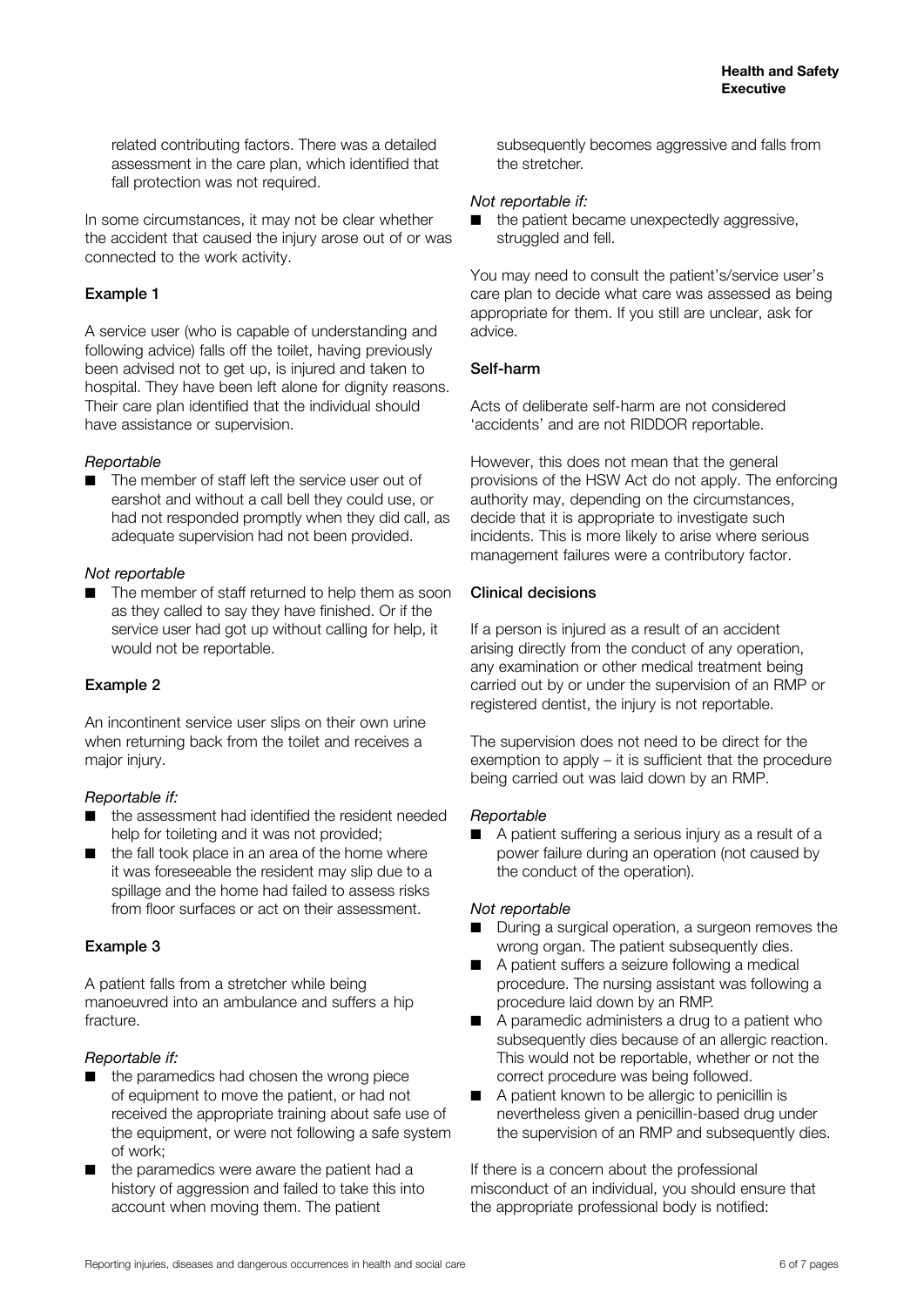related contributing factors. There was a detailed assessment in the care plan, which identified that fall protection was not required.

In some circumstances, it may not be clear whether the accident that caused the injury arose out of or was connected to the work activity.

### Example 1

A service user (who is capable of understanding and following advice) falls off the toilet, having previously been advised not to get up, is injured and taken to hospital. They have been left alone for dignity reasons. Their care plan identified that the individual should have assistance or supervision.

#### *Reportable*

■ The member of staff left the service user out of earshot and without a call bell they could use, or had not responded promptly when they did call, as adequate supervision had not been provided.

#### *Not reportable*

■ The member of staff returned to help them as soon as they called to say they have finished. Or if the service user had got up without calling for help, it would not be reportable.

#### Example 2

An incontinent service user slips on their own urine when returning back from the toilet and receives a major injury.

#### *Reportable if:*

- the assessment had identified the resident needed help for toileting and it was not provided;
- the fall took place in an area of the home where it was foreseeable the resident may slip due to a spillage and the home had failed to assess risks from floor surfaces or act on their assessment.

#### Example 3

A patient falls from a stretcher while being manoeuvred into an ambulance and suffers a hip fracture.

#### *Reportable if:*

- the paramedics had chosen the wrong piece of equipment to move the patient, or had not received the appropriate training about safe use of the equipment, or were not following a safe system of work;
- the paramedics were aware the patient had a history of aggression and failed to take this into account when moving them. The patient

subsequently becomes aggressive and falls from the stretcher.

#### *Not reportable if:*

■ the patient became unexpectedly aggressive, struggled and fell.

You may need to consult the patient's/service user's care plan to decide what care was assessed as being appropriate for them. If you still are unclear, ask for advice.

#### Self-harm

Acts of deliberate self-harm are not considered 'accidents' and are not RIDDOR reportable.

However, this does not mean that the general provisions of the HSW Act do not apply. The enforcing authority may, depending on the circumstances, decide that it is appropriate to investigate such incidents. This is more likely to arise where serious management failures were a contributory factor.

#### Clinical decisions

If a person is injured as a result of an accident arising directly from the conduct of any operation, any examination or other medical treatment being carried out by or under the supervision of an RMP or registered dentist, the injury is not reportable.

The supervision does not need to be direct for the exemption to apply – it is sufficient that the procedure being carried out was laid down by an RMP.

#### *Reportable*

■ A patient suffering a serious injury as a result of a power failure during an operation (not caused by the conduct of the operation).

#### *Not reportable*

- During a surgical operation, a surgeon removes the wrong organ. The patient subsequently dies.
- A patient suffers a seizure following a medical procedure. The nursing assistant was following a procedure laid down by an RMP.
- A paramedic administers a drug to a patient who subsequently dies because of an allergic reaction. This would not be reportable, whether or not the correct procedure was being followed.
- A patient known to be allergic to penicillin is nevertheless given a penicillin-based drug under the supervision of an RMP and subsequently dies.

If there is a concern about the professional misconduct of an individual, you should ensure that the appropriate professional body is notified: